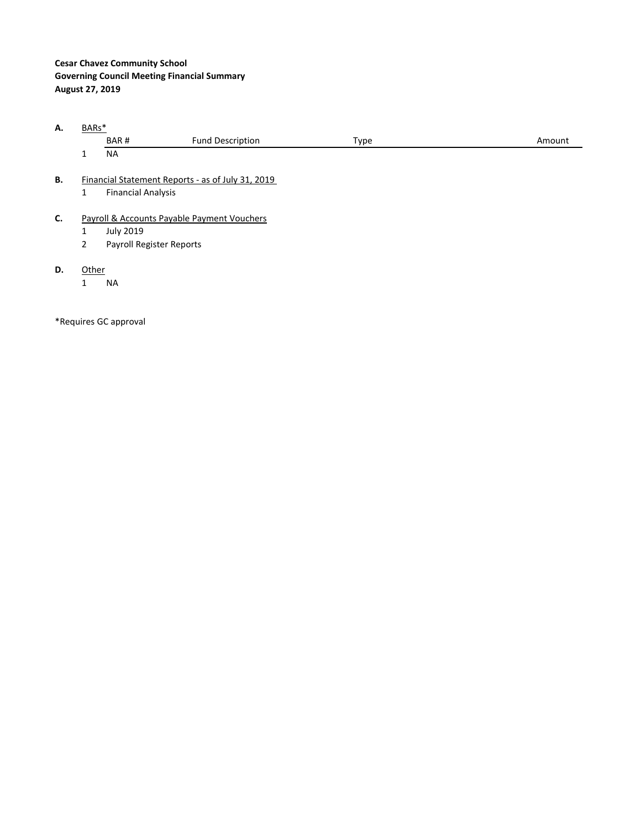## **Cesar Chavez Community School Governing Council Meeting Financial Summary August 27, 2019**

**A.** BARs\*

| .  | ້ |                           |                                                   |      |        |
|----|---|---------------------------|---------------------------------------------------|------|--------|
|    |   | BAR#                      | <b>Fund Description</b>                           | Type | Amount |
|    |   | <b>NA</b>                 |                                                   |      |        |
| В. |   |                           | Financial Statement Reports - as of July 31, 2019 |      |        |
|    |   | <b>Financial Analysis</b> |                                                   |      |        |

- **C.** Payroll & Accounts Payable Payment Vouchers
	- 1 July 2019<br>2 Payroll Re
	- Payroll Register Reports
- **D.** Other
	- 1 NA

\*Requires GC approval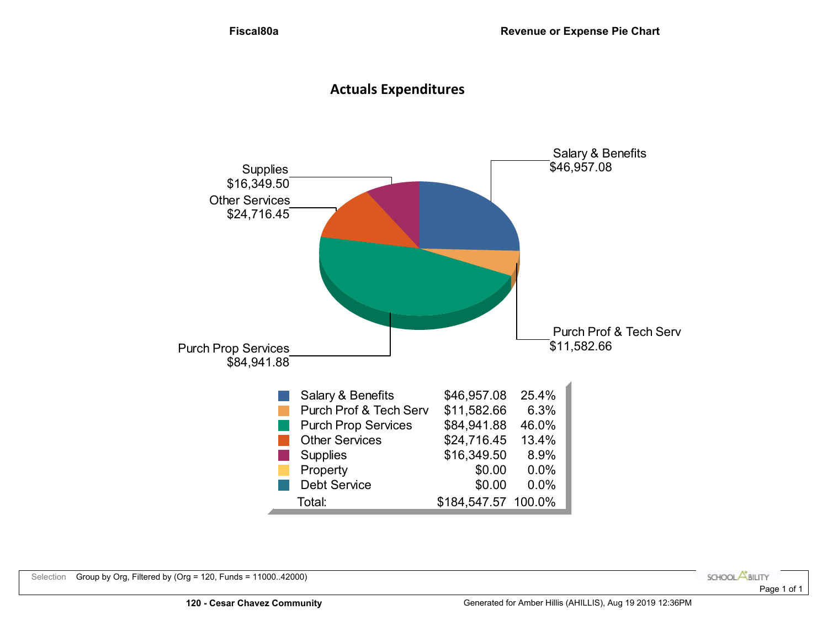# **Actuals Expenditures**

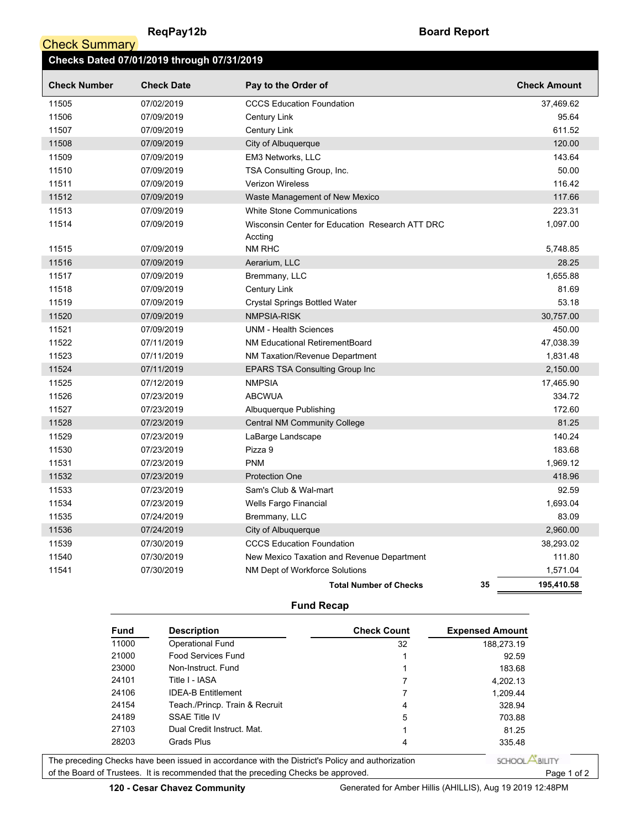**Check Summary** 

| Checks Dated 07/01/2019 through 07/31/2019 |                   |                                                            |                     |  |  |  |  |  |  |  |  |
|--------------------------------------------|-------------------|------------------------------------------------------------|---------------------|--|--|--|--|--|--|--|--|
| <b>Check Number</b>                        | <b>Check Date</b> | Pay to the Order of                                        | <b>Check Amount</b> |  |  |  |  |  |  |  |  |
| 11505                                      | 07/02/2019        | <b>CCCS Education Foundation</b>                           | 37,469.62           |  |  |  |  |  |  |  |  |
| 11506                                      | 07/09/2019        | <b>Century Link</b>                                        | 95.64               |  |  |  |  |  |  |  |  |
| 11507                                      | 07/09/2019        | Century Link                                               | 611.52              |  |  |  |  |  |  |  |  |
| 11508                                      | 07/09/2019        | City of Albuquerque                                        | 120.00              |  |  |  |  |  |  |  |  |
| 11509                                      | 07/09/2019        | EM3 Networks, LLC                                          | 143.64              |  |  |  |  |  |  |  |  |
| 11510                                      | 07/09/2019        | TSA Consulting Group, Inc.                                 | 50.00               |  |  |  |  |  |  |  |  |
| 11511                                      | 07/09/2019        | <b>Verizon Wireless</b>                                    | 116.42              |  |  |  |  |  |  |  |  |
| 11512                                      | 07/09/2019        | Waste Management of New Mexico                             | 117.66              |  |  |  |  |  |  |  |  |
| 11513                                      | 07/09/2019        | <b>White Stone Communications</b>                          | 223.31              |  |  |  |  |  |  |  |  |
| 11514                                      | 07/09/2019        | Wisconsin Center for Education Research ATT DRC<br>Accting | 1,097.00            |  |  |  |  |  |  |  |  |
| 11515                                      | 07/09/2019        | NM RHC                                                     | 5,748.85            |  |  |  |  |  |  |  |  |
| 11516                                      | 07/09/2019        | Aerarium, LLC                                              | 28.25               |  |  |  |  |  |  |  |  |
| 11517                                      | 07/09/2019        | Bremmany, LLC                                              | 1,655.88            |  |  |  |  |  |  |  |  |
| 11518                                      | 07/09/2019        | <b>Century Link</b>                                        | 81.69               |  |  |  |  |  |  |  |  |
| 11519                                      | 07/09/2019        | <b>Crystal Springs Bottled Water</b>                       | 53.18               |  |  |  |  |  |  |  |  |
| 11520                                      | 07/09/2019        | NMPSIA-RISK                                                | 30,757.00           |  |  |  |  |  |  |  |  |
| 11521                                      | 07/09/2019        | <b>UNM - Health Sciences</b>                               | 450.00              |  |  |  |  |  |  |  |  |
| 11522                                      | 07/11/2019        | NM Educational RetirementBoard                             | 47,038.39           |  |  |  |  |  |  |  |  |
| 11523                                      | 07/11/2019        | NM Taxation/Revenue Department                             | 1,831.48            |  |  |  |  |  |  |  |  |
| 11524                                      | 07/11/2019        | <b>EPARS TSA Consulting Group Inc.</b>                     | 2,150.00            |  |  |  |  |  |  |  |  |
| 11525                                      | 07/12/2019        | <b>NMPSIA</b>                                              | 17,465.90           |  |  |  |  |  |  |  |  |
| 11526                                      | 07/23/2019        | <b>ABCWUA</b>                                              | 334.72              |  |  |  |  |  |  |  |  |
| 11527                                      | 07/23/2019        | Albuquerque Publishing                                     | 172.60              |  |  |  |  |  |  |  |  |
| 11528                                      | 07/23/2019        | <b>Central NM Community College</b>                        | 81.25               |  |  |  |  |  |  |  |  |
| 11529                                      | 07/23/2019        | LaBarge Landscape                                          | 140.24              |  |  |  |  |  |  |  |  |
| 11530                                      | 07/23/2019        | Pizza 9                                                    | 183.68              |  |  |  |  |  |  |  |  |
| 11531                                      | 07/23/2019        | <b>PNM</b>                                                 | 1,969.12            |  |  |  |  |  |  |  |  |
| 11532                                      | 07/23/2019        | <b>Protection One</b>                                      | 418.96              |  |  |  |  |  |  |  |  |
| 11533                                      | 07/23/2019        | Sam's Club & Wal-mart                                      | 92.59               |  |  |  |  |  |  |  |  |
| 11534                                      | 07/23/2019        | Wells Fargo Financial                                      | 1,693.04            |  |  |  |  |  |  |  |  |
| 11535                                      | 07/24/2019        | Bremmany, LLC                                              | 83.09               |  |  |  |  |  |  |  |  |
| 11536                                      | 07/24/2019        | City of Albuquerque                                        | 2,960.00            |  |  |  |  |  |  |  |  |
| 11539                                      | 07/30/2019        | <b>CCCS Education Foundation</b>                           | 38,293.02           |  |  |  |  |  |  |  |  |
| 11540                                      | 07/30/2019        | New Mexico Taxation and Revenue Department                 | 111.80              |  |  |  |  |  |  |  |  |
| 11541                                      | 07/30/2019        | NM Dept of Workforce Solutions                             | 1,571.04            |  |  |  |  |  |  |  |  |
|                                            |                   | 35<br><b>Total Number of Checks</b>                        | 195,410.58          |  |  |  |  |  |  |  |  |

### **Fund Recap**

| <b>Fund</b> | <b>Description</b>                                                                 | <b>Check Count</b> | <b>Expensed Amount</b> |
|-------------|------------------------------------------------------------------------------------|--------------------|------------------------|
| 11000       | Operational Fund                                                                   | 32                 | 188.273.19             |
| 21000       | Food Services Fund                                                                 |                    | 92.59                  |
| 23000       | Non-Instruct. Fund                                                                 |                    | 183.68                 |
| 24101       | Title I - IASA                                                                     |                    | 4,202.13               |
| 24106       | <b>IDFA-B Fntitlement</b>                                                          |                    | 1,209.44               |
| 24154       | Teach /Princp. Train & Recruit                                                     | 4                  | 328.94                 |
| 24189       | <b>SSAE Title IV</b>                                                               | 5                  | 703.88                 |
| 27103       | Dual Credit Instruct, Mat.                                                         |                    | 81.25                  |
| 28203       | Grads Plus                                                                         | 4                  | 335.48                 |
|             | Checks have been issued in accordance with the District's Policy and authorization |                    | SCHOOL                 |

Page 1 of 2 The preceding of the Board of Trustees. It is recommended that the preceding Checks be approved.

**120 - Cesar Chavez Community** Generated for Amber Hillis (AHILLIS), Aug 19 2019 12:48PM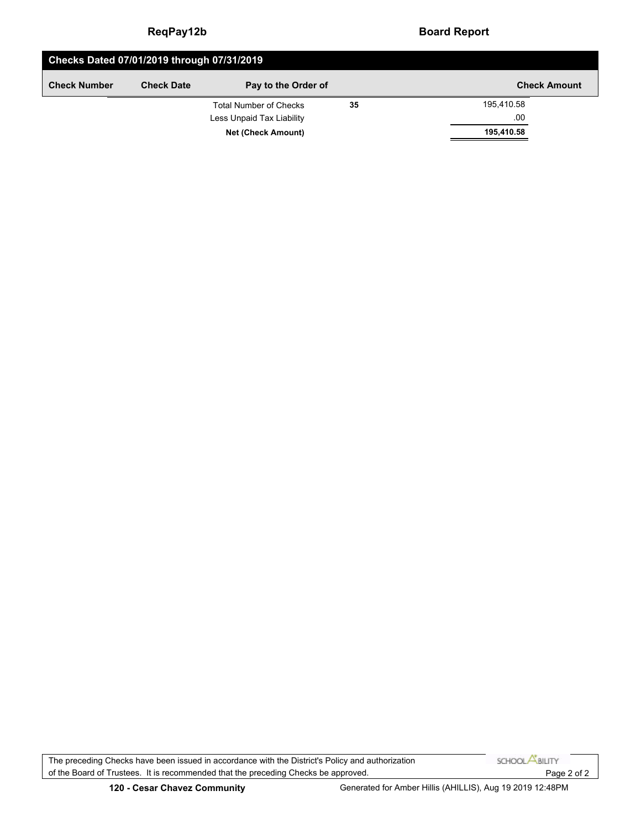### **ReqPay12b Board Report**

| Checks Dated 07/01/2019 through 07/31/2019 |                   |                               |    |                     |  |  |  |  |  |  |
|--------------------------------------------|-------------------|-------------------------------|----|---------------------|--|--|--|--|--|--|
| <b>Check Number</b>                        | <b>Check Date</b> | Pay to the Order of           |    | <b>Check Amount</b> |  |  |  |  |  |  |
|                                            |                   | <b>Total Number of Checks</b> | 35 | 195,410.58          |  |  |  |  |  |  |
|                                            |                   | Less Unpaid Tax Liability     |    | .00                 |  |  |  |  |  |  |
|                                            |                   | 195,410.58                    |    |                     |  |  |  |  |  |  |

SCHOOL **ABILITY** The preceding Checks have been issued in accordance with the District's Policy and authorization of the Board of Trustees. It is recommended that the preceding Checks be approved.Page 2 of 2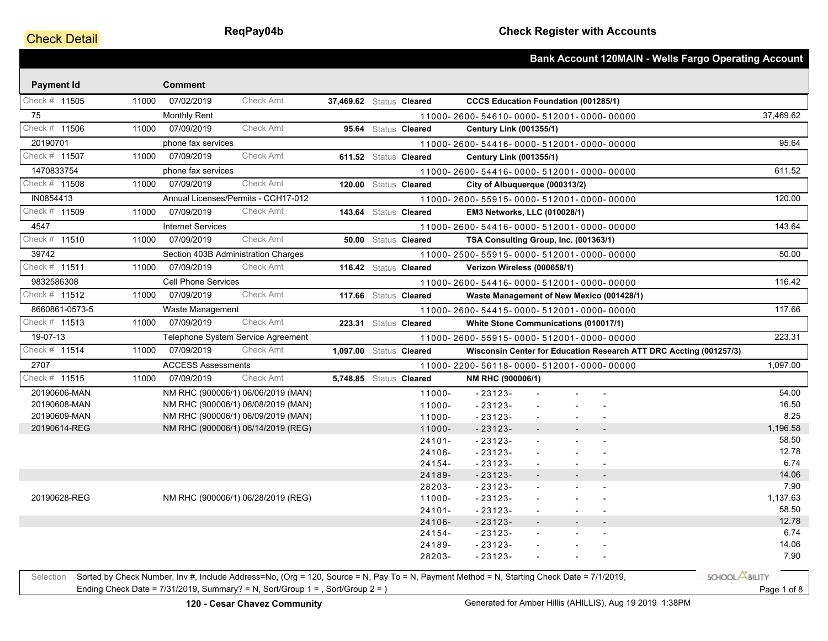## **Check Detail**

|                   |       |                            |                                                                                                                                            |                          |                         |                                             |                          |  | <b>Bank Account 120MAIN - Wells Fargo Operating Account</b>        |
|-------------------|-------|----------------------------|--------------------------------------------------------------------------------------------------------------------------------------------|--------------------------|-------------------------|---------------------------------------------|--------------------------|--|--------------------------------------------------------------------|
| <b>Payment Id</b> |       | <b>Comment</b>             |                                                                                                                                            |                          |                         |                                             |                          |  |                                                                    |
| Check # 11505     | 11000 | 07/02/2019                 | Check Amt                                                                                                                                  | 37,469.62 Status Cleared |                         | <b>CCCS Education Foundation (001285/1)</b> |                          |  |                                                                    |
| 75                |       | <b>Monthly Rent</b>        |                                                                                                                                            |                          |                         | 11000-2600-54610-0000-512001-0000-00000     |                          |  | 37,469.62                                                          |
| Check # 11506     | 11000 | 07/09/2019                 | <b>Check Amt</b>                                                                                                                           |                          | 95.64 Status Cleared    | <b>Century Link (001355/1)</b>              |                          |  |                                                                    |
| 20190701          |       | phone fax services         |                                                                                                                                            |                          |                         | 11000-2600-54416-0000-512001-0000-00000     |                          |  | 95.64                                                              |
| Check # 11507     | 11000 | 07/09/2019                 | Check Amt                                                                                                                                  |                          | 611.52 Status Cleared   | <b>Century Link (001355/1)</b>              |                          |  |                                                                    |
| 1470833754        |       | phone fax services         |                                                                                                                                            |                          |                         | 11000-2600-54416-0000-512001-0000-00000     |                          |  | 611.52                                                             |
| Check # 11508     | 11000 | 07/09/2019                 | Check Amt                                                                                                                                  |                          | 120.00 Status Cleared   | City of Albuquerque (000313/2)              |                          |  |                                                                    |
| IN0854413         |       |                            | Annual Licenses/Permits - CCH17-012                                                                                                        |                          |                         | 11000-2600-55915-0000-512001-0000-00000     |                          |  | 120.00                                                             |
| Check # 11509     | 11000 | 07/09/2019                 | <b>Check Amt</b>                                                                                                                           |                          | 143.64 Status Cleared   | EM3 Networks, LLC (010028/1)                |                          |  |                                                                    |
| 4547              |       | <b>Internet Services</b>   |                                                                                                                                            |                          |                         | 11000-2600-54416-0000-512001-0000-00000     |                          |  | 143.64                                                             |
| Check # 11510     | 11000 | 07/09/2019                 | Check Amt                                                                                                                                  |                          | 50.00 Status Cleared    | TSA Consulting Group, Inc. (001363/1)       |                          |  |                                                                    |
| 39742             |       |                            | Section 403B Administration Charges                                                                                                        |                          |                         | 11000-2500-55915-0000-512001-0000-00000     |                          |  | 50.00                                                              |
| Check # 11511     | 11000 | 07/09/2019                 | <b>Check Amt</b>                                                                                                                           |                          | 116.42 Status Cleared   | Verizon Wireless (000658/1)                 |                          |  |                                                                    |
| 9832586308        |       | <b>Cell Phone Services</b> |                                                                                                                                            |                          |                         | 11000-2600-54416-0000-512001-0000-00000     |                          |  | 116.42                                                             |
| Check # 11512     | 11000 | 07/09/2019                 | <b>Check Amt</b>                                                                                                                           |                          | 117.66 Status Cleared   | Waste Management of New Mexico (001428/1)   |                          |  |                                                                    |
| 8660861-0573-5    |       | Waste Management           |                                                                                                                                            |                          |                         | 11000-2600-54415-0000-512001-0000-00000     |                          |  | 117.66                                                             |
| Check # 11513     | 11000 | 07/09/2019                 | <b>Check Amt</b>                                                                                                                           |                          | 223.31 Status Cleared   | White Stone Communications (010017/1)       |                          |  |                                                                    |
| 19-07-13          |       |                            | Telephone System Service Agreement                                                                                                         |                          |                         | 11000-2600-55915-0000-512001-0000-00000     |                          |  | 223.31                                                             |
| Check # 11514     | 11000 | 07/09/2019                 | <b>Check Amt</b>                                                                                                                           |                          | 1,097.00 Status Cleared |                                             |                          |  | Wisconsin Center for Education Research ATT DRC Accting (001257/3) |
| 2707              |       | <b>ACCESS Assessments</b>  |                                                                                                                                            |                          |                         | 11000-2200-56118-0000-512001-0000-00000     |                          |  | 1,097.00                                                           |
| Check # 11515     | 11000 | 07/09/2019                 | Check Amt                                                                                                                                  |                          | 5,748.85 Status Cleared | NM RHC (900006/1)                           |                          |  |                                                                    |
| 20190606-MAN      |       |                            | NM RHC (900006/1) 06/06/2019 (MAN)                                                                                                         |                          | 11000-                  | $-23123-$                                   |                          |  | 54.00                                                              |
| 20190608-MAN      |       |                            | NM RHC (900006/1) 06/08/2019 (MAN)                                                                                                         |                          | 11000-                  | $-23123-$                                   |                          |  | 16.50                                                              |
| 20190609-MAN      |       |                            | NM RHC (900006/1) 06/09/2019 (MAN)                                                                                                         |                          | 11000-                  | $-23123-$                                   |                          |  | 8.25                                                               |
| 20190614-REG      |       |                            | NM RHC (900006/1) 06/14/2019 (REG)                                                                                                         |                          | 11000-                  | $-23123-$                                   |                          |  | 1,196.58                                                           |
|                   |       |                            |                                                                                                                                            |                          | $24101 -$               | $-23123-$                                   |                          |  | 58.50                                                              |
|                   |       |                            |                                                                                                                                            |                          | 24106-                  | $-23123-$                                   |                          |  | 12.78                                                              |
|                   |       |                            |                                                                                                                                            |                          | 24154-                  | $-23123-$                                   |                          |  | 6.74                                                               |
|                   |       |                            |                                                                                                                                            |                          | 24189-                  | $-23123-$                                   |                          |  | 14.06                                                              |
|                   |       |                            |                                                                                                                                            |                          | 28203-                  | $-23123-$                                   |                          |  | 7.90                                                               |
| 20190628-REG      |       |                            | NM RHC (900006/1) 06/28/2019 (REG)                                                                                                         |                          | 11000-                  | $-23123-$                                   |                          |  | 1,137.63                                                           |
|                   |       |                            |                                                                                                                                            |                          | $24101 -$               | $-23123-$                                   |                          |  | 58.50                                                              |
|                   |       |                            |                                                                                                                                            |                          | 24106-                  | $-23123-$                                   |                          |  | 12.78                                                              |
|                   |       |                            |                                                                                                                                            |                          | 24154-                  | $-23123-$                                   |                          |  | 6.74                                                               |
|                   |       |                            |                                                                                                                                            |                          | 24189-                  | $-23123-$                                   |                          |  | 14.06                                                              |
|                   |       |                            |                                                                                                                                            |                          | 28203-                  | $-23123-$                                   | $\overline{\phantom{a}}$ |  | 7.90                                                               |
| Selection         |       |                            | Sorted by Check Number, Inv #, Include Address=No, (Org = 120, Source = N, Pay To = N, Payment Method = N, Starting Check Date = 7/1/2019, |                          |                         |                                             |                          |  | SCHOOL <b>ABILITY</b>                                              |
|                   |       |                            | Ending Check Date = $7/31/2019$ , Summary? = N, Sort/Group 1 = , Sort/Group 2 = )                                                          |                          |                         |                                             |                          |  | Page 1 of 8                                                        |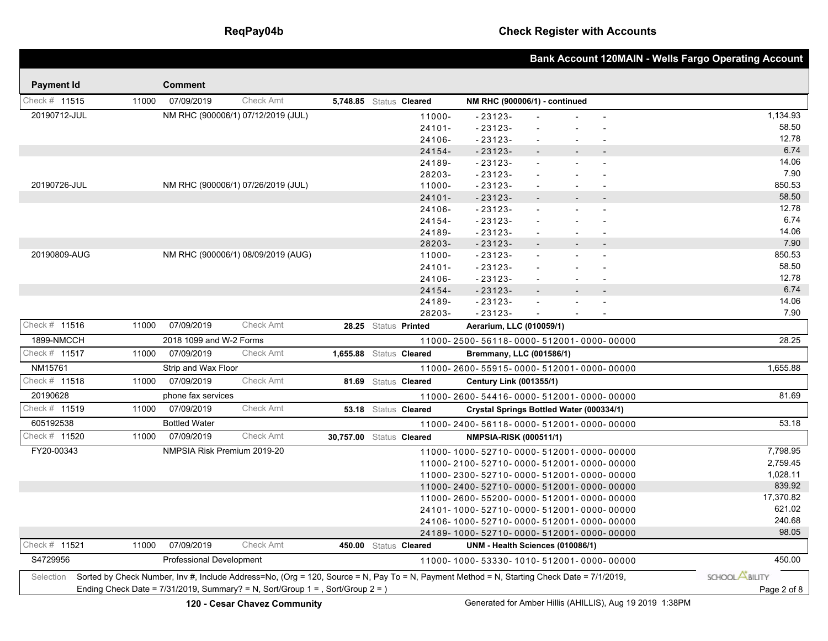## **ReqPay04b Check Register with Accounts**

|                   |       |                                 |                                                                                                                                                                                                                              |                          |                       |                                          |        |                          | <b>Bank Account 120MAIN - Wells Fargo Operating Account</b> |
|-------------------|-------|---------------------------------|------------------------------------------------------------------------------------------------------------------------------------------------------------------------------------------------------------------------------|--------------------------|-----------------------|------------------------------------------|--------|--------------------------|-------------------------------------------------------------|
| <b>Payment Id</b> |       | <b>Comment</b>                  |                                                                                                                                                                                                                              |                          |                       |                                          |        |                          |                                                             |
| Check # 11515     | 11000 | 07/09/2019                      | <b>Check Amt</b>                                                                                                                                                                                                             | 5,748.85 Status Cleared  |                       | NM RHC (900006/1) - continued            |        |                          |                                                             |
| 20190712-JUL      |       |                                 |                                                                                                                                                                                                                              |                          |                       |                                          |        |                          |                                                             |
|                   |       |                                 | NM RHC (900006/1) 07/12/2019 (JUL)                                                                                                                                                                                           |                          | 11000-<br>$24101 -$   | $-23123-$<br>$-23123-$                   |        |                          | 1,134.93<br>58.50                                           |
|                   |       |                                 |                                                                                                                                                                                                                              |                          | 24106-                | $-23123-$                                | $\sim$ |                          | 12.78                                                       |
|                   |       |                                 |                                                                                                                                                                                                                              |                          | 24154-                | $-23123-$                                |        |                          | 6.74                                                        |
|                   |       |                                 |                                                                                                                                                                                                                              |                          | 24189-                | $-23123-$                                |        |                          | 14.06                                                       |
|                   |       |                                 |                                                                                                                                                                                                                              |                          | 28203-                | $-23123-$                                |        | $\blacksquare$           | 7.90                                                        |
| 20190726-JUL      |       |                                 | NM RHC (900006/1) 07/26/2019 (JUL)                                                                                                                                                                                           |                          | 11000-                | $-23123-$                                |        |                          | 850.53                                                      |
|                   |       |                                 |                                                                                                                                                                                                                              |                          | $24101 -$             | $-23123-$                                |        | $\overline{\phantom{a}}$ | 58.50                                                       |
|                   |       |                                 |                                                                                                                                                                                                                              |                          | 24106-                | $-23123-$                                |        |                          | 12.78                                                       |
|                   |       |                                 |                                                                                                                                                                                                                              |                          | 24154-                | $-23123-$                                |        |                          | 6.74                                                        |
|                   |       |                                 |                                                                                                                                                                                                                              |                          | 24189-                | $-23123-$                                |        | $\overline{\phantom{a}}$ | 14.06                                                       |
|                   |       |                                 |                                                                                                                                                                                                                              |                          | 28203-                | $-23123-$                                |        |                          | 7.90                                                        |
| 20190809-AUG      |       |                                 | NM RHC (900006/1) 08/09/2019 (AUG)                                                                                                                                                                                           |                          | 11000-                | $-23123-$                                |        |                          | 850.53                                                      |
|                   |       |                                 |                                                                                                                                                                                                                              |                          | $24101 -$             | $-23123-$                                |        |                          | 58.50<br>12.78                                              |
|                   |       |                                 |                                                                                                                                                                                                                              |                          | 24106-                | $-23123-$                                |        |                          | 6.74                                                        |
|                   |       |                                 |                                                                                                                                                                                                                              |                          | 24154-<br>24189-      | $-23123-$<br>$-23123-$                   | $\sim$ |                          | 14.06                                                       |
|                   |       |                                 |                                                                                                                                                                                                                              |                          | 28203-                | $-23123-$                                | $\sim$ |                          | 7.90                                                        |
| Check # 11516     | 11000 | 07/09/2019                      | <b>Check Amt</b>                                                                                                                                                                                                             |                          | 28.25 Status Printed  | Aerarium, LLC (010059/1)                 |        |                          |                                                             |
| 1899-NMCCH        |       | 2018 1099 and W-2 Forms         |                                                                                                                                                                                                                              |                          |                       | 11000-2500-56118-0000-512001-0000-00000  |        |                          | 28.25                                                       |
| Check # 11517     | 11000 | 07/09/2019                      | <b>Check Amt</b>                                                                                                                                                                                                             | 1,655.88 Status Cleared  |                       | Bremmany, LLC (001586/1)                 |        |                          |                                                             |
| NM15761           |       | Strip and Wax Floor             |                                                                                                                                                                                                                              |                          |                       | 11000-2600-55915-0000-512001-0000-00000  |        |                          | 1,655.88                                                    |
| Check # 11518     | 11000 | 07/09/2019                      | <b>Check Amt</b>                                                                                                                                                                                                             |                          | 81.69 Status Cleared  | <b>Century Link (001355/1)</b>           |        |                          |                                                             |
| 20190628          |       | phone fax services              |                                                                                                                                                                                                                              |                          |                       | 11000-2600-54416-0000-512001-0000-00000  |        |                          | 81.69                                                       |
| Check # 11519     | 11000 | 07/09/2019                      | Check Amt                                                                                                                                                                                                                    |                          | 53.18 Status Cleared  | Crystal Springs Bottled Water (000334/1) |        |                          |                                                             |
| 605192538         |       | <b>Bottled Water</b>            |                                                                                                                                                                                                                              |                          |                       | 11000-2400-56118-0000-512001-0000-00000  |        |                          | 53.18                                                       |
| Check # 11520     | 11000 | 07/09/2019                      | <b>Check Amt</b>                                                                                                                                                                                                             | 30,757.00 Status Cleared |                       | <b>NMPSIA-RISK (000511/1)</b>            |        |                          |                                                             |
| FY20-00343        |       | NMPSIA Risk Premium 2019-20     |                                                                                                                                                                                                                              |                          |                       | 11000-1000-52710-0000-512001-0000-00000  |        |                          | 7,798.95                                                    |
|                   |       |                                 |                                                                                                                                                                                                                              |                          |                       | 11000-2100-52710-0000-512001-0000-00000  |        |                          | 2,759.45                                                    |
|                   |       |                                 |                                                                                                                                                                                                                              |                          |                       | 11000-2300-52710-0000-512001-0000-00000  |        |                          | 1,028.11                                                    |
|                   |       |                                 |                                                                                                                                                                                                                              |                          |                       | 11000-2400-52710-0000-512001-0000-00000  |        |                          | 839.92                                                      |
|                   |       |                                 |                                                                                                                                                                                                                              |                          |                       | 11000-2600-55200-0000-512001-0000-00000  |        |                          | 17,370.82                                                   |
|                   |       |                                 |                                                                                                                                                                                                                              |                          |                       | 24101-1000-52710-0000-512001-0000-00000  |        |                          | 621.02                                                      |
|                   |       |                                 |                                                                                                                                                                                                                              |                          |                       | 24106-1000-52710-0000-512001-0000-00000  |        |                          | 240.68                                                      |
| Check # 11521     |       |                                 | <b>Check Amt</b>                                                                                                                                                                                                             |                          |                       | 24189-1000-52710-0000-512001-0000-00000  |        |                          | 98.05                                                       |
| S4729956          | 11000 | 07/09/2019                      |                                                                                                                                                                                                                              |                          | 450.00 Status Cleared | UNM - Health Sciences (010086/1)         |        |                          | 450.00                                                      |
|                   |       | <b>Professional Development</b> |                                                                                                                                                                                                                              |                          |                       | 11000-1000-53330-1010-512001-0000-00000  |        |                          |                                                             |
| Selection         |       |                                 | Sorted by Check Number, Inv #, Include Address=No, (Org = 120, Source = N, Pay To = N, Payment Method = N, Starting Check Date = 7/1/2019,<br>Ending Check Date = 7/31/2019, Summary? = N, Sort/Group 1 = , Sort/Group 2 = ) |                          |                       |                                          |        |                          | SCHOOL <b>ABILITY</b>                                       |
|                   |       |                                 |                                                                                                                                                                                                                              |                          |                       |                                          |        |                          | Page 2 of 8                                                 |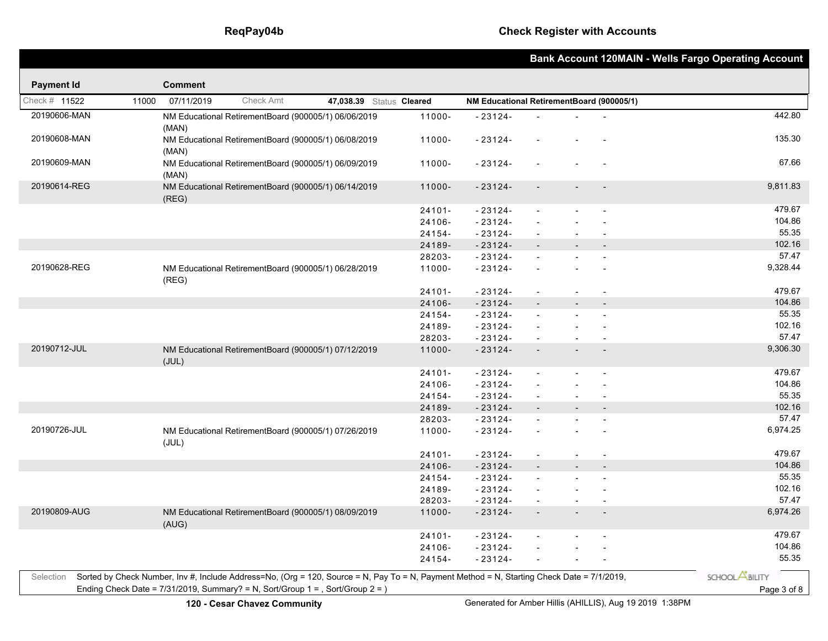|                   |       |                |                                                                                |                                                                                                                                            |           |                                           |                          |                |                | <b>Bank Account 120MAIN - Wells Fargo Operating Account</b> |
|-------------------|-------|----------------|--------------------------------------------------------------------------------|--------------------------------------------------------------------------------------------------------------------------------------------|-----------|-------------------------------------------|--------------------------|----------------|----------------|-------------------------------------------------------------|
| <b>Payment Id</b> |       | <b>Comment</b> |                                                                                |                                                                                                                                            |           |                                           |                          |                |                |                                                             |
| Check # 11522     | 11000 | 07/11/2019     | <b>Check Amt</b>                                                               | 47,038.39 Status Cleared                                                                                                                   |           | NM Educational RetirementBoard (900005/1) |                          |                |                |                                                             |
| 20190606-MAN      |       |                | NM Educational RetirementBoard (900005/1) 06/06/2019                           |                                                                                                                                            | 11000-    | $-23124-$                                 |                          |                |                | 442.80                                                      |
|                   |       | (MAN)          |                                                                                |                                                                                                                                            |           |                                           |                          |                |                |                                                             |
| 20190608-MAN      |       | (MAN)          | NM Educational RetirementBoard (900005/1) 06/08/2019                           |                                                                                                                                            | 11000-    | $-23124-$                                 |                          |                |                | 135.30                                                      |
| 20190609-MAN      |       | (MAN)          | NM Educational RetirementBoard (900005/1) 06/09/2019                           |                                                                                                                                            | 11000-    | $-23124-$                                 |                          |                |                | 67.66                                                       |
| 20190614-REG      |       | (REG)          | NM Educational RetirementBoard (900005/1) 06/14/2019                           |                                                                                                                                            | $11000 -$ | $-23124-$                                 | $\overline{\phantom{a}}$ |                |                | 9,811.83                                                    |
|                   |       |                |                                                                                |                                                                                                                                            | 24101-    | $-23124-$                                 | $\mathbf{r}$             |                |                | 479.67                                                      |
|                   |       |                |                                                                                |                                                                                                                                            | 24106-    | $-23124-$                                 | $\overline{\phantom{a}}$ |                |                | 104.86                                                      |
|                   |       |                |                                                                                |                                                                                                                                            | 24154-    | $-23124-$                                 | $\sim$                   |                |                | 55.35                                                       |
|                   |       |                |                                                                                |                                                                                                                                            | 24189-    | $-23124-$                                 |                          |                |                | 102.16                                                      |
|                   |       |                |                                                                                |                                                                                                                                            | 28203-    | $-23124-$                                 |                          |                |                | 57.47                                                       |
| 20190628-REG      |       | (REG)          | NM Educational RetirementBoard (900005/1) 06/28/2019                           |                                                                                                                                            | 11000-    | $-23124-$                                 | $\overline{\phantom{a}}$ |                |                | 9,328.44                                                    |
|                   |       |                |                                                                                |                                                                                                                                            | 24101-    | $-23124-$                                 | $\overline{a}$           |                |                | 479.67                                                      |
|                   |       |                |                                                                                |                                                                                                                                            | 24106-    | $-23124-$                                 | $\overline{\phantom{a}}$ |                |                | 104.86                                                      |
|                   |       |                |                                                                                |                                                                                                                                            | 24154-    | $-23124-$                                 | $\overline{a}$           |                |                | 55.35                                                       |
|                   |       |                |                                                                                |                                                                                                                                            | 24189-    | $-23124-$                                 |                          |                |                | 102.16                                                      |
|                   |       |                |                                                                                |                                                                                                                                            | 28203-    | $-23124-$                                 | $\blacksquare$           |                |                | 57.47                                                       |
| 20190712-JUL      |       | (JUL)          | NM Educational RetirementBoard (900005/1) 07/12/2019                           |                                                                                                                                            | 11000-    | $-23124-$                                 | $\overline{\phantom{a}}$ |                |                | 9,306.30                                                    |
|                   |       |                |                                                                                |                                                                                                                                            | $24101 -$ | $-23124-$                                 | $\overline{\phantom{a}}$ |                |                | 479.67                                                      |
|                   |       |                |                                                                                |                                                                                                                                            | 24106-    | $-23124-$                                 | $\overline{\phantom{a}}$ |                |                | 104.86                                                      |
|                   |       |                |                                                                                |                                                                                                                                            | 24154-    | $-23124-$                                 | $\mathbf{r}$             | $\overline{a}$ | $\sim$         | 55.35                                                       |
|                   |       |                |                                                                                |                                                                                                                                            | 24189-    | $-23124-$                                 |                          | $\overline{a}$ |                | 102.16                                                      |
|                   |       |                |                                                                                |                                                                                                                                            | 28203-    | $-23124-$                                 | $\blacksquare$           |                |                | 57.47                                                       |
| 20190726-JUL      |       | (JUL)          | NM Educational RetirementBoard (900005/1) 07/26/2019                           |                                                                                                                                            | 11000-    | $-23124-$                                 |                          |                |                | 6,974.25                                                    |
|                   |       |                |                                                                                |                                                                                                                                            | $24101 -$ | $-23124-$                                 |                          |                |                | 479.67                                                      |
|                   |       |                |                                                                                |                                                                                                                                            | 24106-    | $-23124-$                                 | $\overline{\phantom{a}}$ | $\overline{a}$ |                | 104.86                                                      |
|                   |       |                |                                                                                |                                                                                                                                            | 24154-    | $-23124-$                                 | $\overline{\phantom{a}}$ |                |                | 55.35                                                       |
|                   |       |                |                                                                                |                                                                                                                                            | 24189-    | $-23124-$                                 |                          |                |                | 102.16                                                      |
|                   |       |                |                                                                                |                                                                                                                                            | 28203-    | $-23124-$                                 | $\overline{\phantom{a}}$ | $\overline{a}$ | $\blacksquare$ | 57.47                                                       |
| 20190809-AUG      |       | (AUG)          | NM Educational RetirementBoard (900005/1) 08/09/2019                           |                                                                                                                                            | 11000-    | $-23124-$                                 | $\overline{\phantom{a}}$ |                |                | 6,974.26                                                    |
|                   |       |                |                                                                                |                                                                                                                                            | $24101 -$ | $-23124-$                                 | $\blacksquare$           |                |                | 479.67                                                      |
|                   |       |                |                                                                                |                                                                                                                                            | 24106-    | $-23124-$                                 |                          |                |                | 104.86                                                      |
|                   |       |                |                                                                                |                                                                                                                                            | 24154-    | $-23124-$                                 | $\blacksquare$           |                |                | 55.35                                                       |
| Selection         |       |                | Ending Check Date = 7/31/2019, Summary? = N, Sort/Group 1 = , Sort/Group 2 = ) | Sorted by Check Number, Inv #, Include Address=No, (Org = 120, Source = N, Pay To = N, Payment Method = N, Starting Check Date = 7/1/2019, |           |                                           |                          |                |                | SCHOOL <b>ABILITY</b>                                       |
|                   |       |                |                                                                                |                                                                                                                                            |           |                                           |                          |                |                | Page 3 of 8                                                 |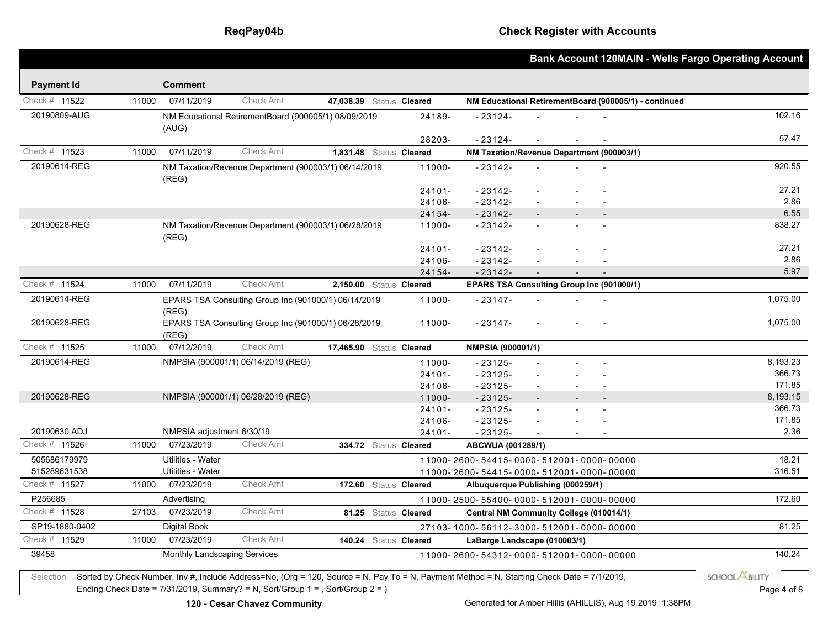## **ReqPay04b Check Register with Accounts**

|                   |       |                              |                                                                                                                                            |                          |                       |                                                       |                          |  | <b>Bank Account 120MAIN - Wells Fargo Operating Account</b> |
|-------------------|-------|------------------------------|--------------------------------------------------------------------------------------------------------------------------------------------|--------------------------|-----------------------|-------------------------------------------------------|--------------------------|--|-------------------------------------------------------------|
| <b>Payment Id</b> |       | <b>Comment</b>               |                                                                                                                                            |                          |                       |                                                       |                          |  |                                                             |
| Check # 11522     | 11000 | 07/11/2019                   | <b>Check Amt</b>                                                                                                                           | 47,038.39 Status Cleared |                       | NM Educational RetirementBoard (900005/1) - continued |                          |  |                                                             |
| 20190809-AUG      |       |                              | NM Educational RetirementBoard (900005/1) 08/09/2019                                                                                       |                          | 24189-                | $-23124-$                                             |                          |  | 102.16                                                      |
|                   |       | (AUG)                        |                                                                                                                                            |                          |                       |                                                       |                          |  |                                                             |
|                   |       |                              |                                                                                                                                            |                          | 28203-                | $-23124-$                                             |                          |  | 57.47                                                       |
| Check # 11523     | 11000 | 07/11/2019                   | Check Amt                                                                                                                                  | 1,831.48 Status Cleared  |                       | NM Taxation/Revenue Department (900003/1)             |                          |  |                                                             |
| 20190614-REG      |       |                              | NM Taxation/Revenue Department (900003/1) 06/14/2019                                                                                       |                          | 11000-                | $-23142-$                                             |                          |  | 920.55                                                      |
|                   |       | (REG)                        |                                                                                                                                            |                          |                       |                                                       |                          |  |                                                             |
|                   |       |                              |                                                                                                                                            |                          | 24101-                | $-23142-$                                             |                          |  | 27.21<br>2.86                                               |
|                   |       |                              |                                                                                                                                            |                          | 24106-                | $-23142-$                                             |                          |  |                                                             |
| 20190628-REG      |       |                              |                                                                                                                                            |                          | 24154-                | $-23142-$                                             |                          |  | 6.55<br>838.27                                              |
|                   |       | (REG)                        | NM Taxation/Revenue Department (900003/1) 06/28/2019                                                                                       |                          | 11000-                | $-23142-$                                             |                          |  |                                                             |
|                   |       |                              |                                                                                                                                            |                          | $24101 -$             | $-23142-$                                             |                          |  | 27.21                                                       |
|                   |       |                              |                                                                                                                                            |                          | 24106-                | $-23142-$                                             |                          |  | 2.86                                                        |
|                   |       |                              |                                                                                                                                            |                          | 24154-                | $-23142-$                                             | $\sim$                   |  | 5.97                                                        |
| Check # 11524     | 11000 | 07/11/2019                   | <b>Check Amt</b>                                                                                                                           | 2,150.00 Status Cleared  |                       | EPARS TSA Consulting Group Inc (901000/1)             |                          |  |                                                             |
| 20190614-REG      |       |                              | EPARS TSA Consulting Group Inc (901000/1) 06/14/2019                                                                                       |                          | 11000-                | $-23147-$                                             |                          |  | 1,075.00                                                    |
|                   |       | (REG)                        |                                                                                                                                            |                          |                       |                                                       |                          |  |                                                             |
| 20190628-REG      |       |                              | EPARS TSA Consulting Group Inc (901000/1) 06/28/2019                                                                                       |                          | 11000-                | $-23147-$                                             |                          |  | 1,075.00                                                    |
|                   |       | (REG)                        |                                                                                                                                            |                          |                       |                                                       |                          |  |                                                             |
| Check # 11525     | 11000 | 07/12/2019                   | <b>Check Amt</b>                                                                                                                           | 17,465.90 Status Cleared |                       | NMPSIA (900001/1)                                     |                          |  |                                                             |
| 20190614-REG      |       |                              | NMPSIA (900001/1) 06/14/2019 (REG)                                                                                                         |                          | 11000-                | $-23125-$                                             | $\overline{\phantom{a}}$ |  | 8,193.23                                                    |
|                   |       |                              |                                                                                                                                            |                          | $24101 -$             | $-23125-$                                             |                          |  | 366.73                                                      |
|                   |       |                              |                                                                                                                                            |                          | 24106-                | $-23125-$                                             | $\overline{\phantom{a}}$ |  | 171.85                                                      |
| 20190628-REG      |       |                              | NMPSIA (900001/1) 06/28/2019 (REG)                                                                                                         |                          | 11000-                | $-23125-$                                             |                          |  | 8,193.15                                                    |
|                   |       |                              |                                                                                                                                            |                          | $24101 -$             | $-23125-$                                             | $\overline{\phantom{a}}$ |  | 366.73                                                      |
|                   |       |                              |                                                                                                                                            |                          | 24106-                | $-23125-$                                             |                          |  | 171.85                                                      |
| 20190630 ADJ      |       | NMPSIA adjustment 6/30/19    |                                                                                                                                            |                          | 24101-                | $-23125-$                                             |                          |  | 2.36                                                        |
| Check # 11526     | 11000 | 07/23/2019                   | <b>Check Amt</b>                                                                                                                           |                          | 334.72 Status Cleared | ABCWUA (001289/1)                                     |                          |  |                                                             |
| 505686179979      |       | <b>Utilities - Water</b>     |                                                                                                                                            |                          |                       | 11000-2600-54415-0000-512001-0000-00000               |                          |  | 18.21                                                       |
| 515289631538      |       | Utilities - Water            |                                                                                                                                            |                          |                       | 11000-2600-54415-0000-512001-0000-00000               |                          |  | 316.51                                                      |
| Check # 11527     | 11000 | 07/23/2019                   | <b>Check Amt</b>                                                                                                                           |                          | 172.60 Status Cleared | Albuquerque Publishing (000259/1)                     |                          |  |                                                             |
| P256685           |       | Advertising                  |                                                                                                                                            |                          |                       | 11000-2500-55400-0000-512001-0000-00000               |                          |  | 172.60                                                      |
| Check # 11528     | 27103 | 07/23/2019                   | <b>Check Amt</b>                                                                                                                           |                          | 81.25 Status Cleared  | Central NM Community College (010014/1)               |                          |  |                                                             |
| SP19-1880-0402    |       | <b>Digital Book</b>          |                                                                                                                                            |                          |                       | 27103-1000-56112-3000-512001-0000-00000               |                          |  | 81.25                                                       |
| Check # 11529     | 11000 | 07/23/2019                   | <b>Check Amt</b>                                                                                                                           |                          | 140.24 Status Cleared | LaBarge Landscape (010003/1)                          |                          |  |                                                             |
| 39458             |       | Monthly Landscaping Services |                                                                                                                                            |                          |                       | 11000-2600-54312-0000-512001-0000-00000               |                          |  | 140.24                                                      |
|                   |       |                              |                                                                                                                                            |                          |                       |                                                       |                          |  | SCHOOL <b>ABILITY</b>                                       |
| Selection         |       |                              | Sorted by Check Number, Inv #, Include Address=No, (Org = 120, Source = N, Pay To = N, Payment Method = N, Starting Check Date = 7/1/2019, |                          |                       |                                                       |                          |  |                                                             |
|                   |       |                              | Ending Check Date = $7/31/2019$ , Summary? = N, Sort/Group 1 = , Sort/Group 2 = )                                                          |                          |                       |                                                       |                          |  | Page 4 of 8                                                 |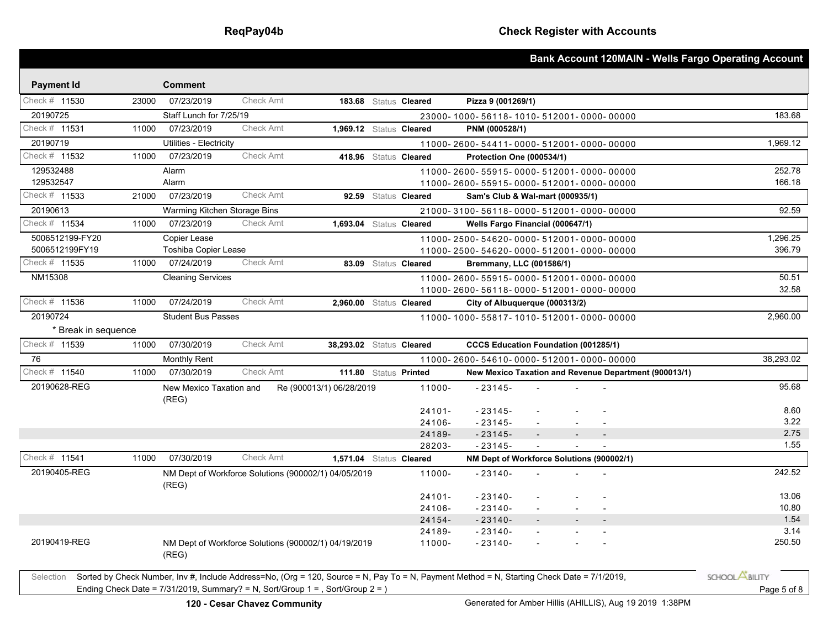|                     |       |                                  |                  |                                                                                                                                            |                       |                                  |        |                                                       | Bank Account 120MAIN - Wells Fargo Operating Account |
|---------------------|-------|----------------------------------|------------------|--------------------------------------------------------------------------------------------------------------------------------------------|-----------------------|----------------------------------|--------|-------------------------------------------------------|------------------------------------------------------|
| <b>Payment Id</b>   |       | <b>Comment</b>                   |                  |                                                                                                                                            |                       |                                  |        |                                                       |                                                      |
| Check # 11530       | 23000 | 07/23/2019                       | <b>Check Amt</b> |                                                                                                                                            | 183.68 Status Cleared | Pizza 9 (001269/1)               |        |                                                       |                                                      |
| 20190725            |       | Staff Lunch for 7/25/19          |                  |                                                                                                                                            |                       |                                  |        | 23000-1000-56118-1010-512001-0000-00000               | 183.68                                               |
| Check $#$ 11531     | 11000 | 07/23/2019                       | Check Amt        | 1,969.12 Status Cleared                                                                                                                    |                       | PNM (000528/1)                   |        |                                                       |                                                      |
| 20190719            |       | Utilities - Electricity          |                  |                                                                                                                                            |                       |                                  |        | 11000-2600-54411-0000-512001-0000-00000               | 1,969.12                                             |
| Check # 11532       | 11000 | 07/23/2019                       | <b>Check Amt</b> |                                                                                                                                            | 418.96 Status Cleared | Protection One (000534/1)        |        |                                                       |                                                      |
| 129532488           |       | Alarm                            |                  |                                                                                                                                            |                       |                                  |        | 11000-2600-55915-0000-512001-0000-00000               | 252.78                                               |
| 129532547           |       | Alarm                            |                  |                                                                                                                                            |                       |                                  |        | 11000-2600-55915-0000-512001-0000-00000               | 166.18                                               |
| Check # 11533       | 21000 | 07/23/2019                       | Check Amt        |                                                                                                                                            | 92.59 Status Cleared  | Sam's Club & Wal-mart (000935/1) |        |                                                       |                                                      |
| 20190613            |       | Warming Kitchen Storage Bins     |                  |                                                                                                                                            |                       |                                  |        | 21000-3100-56118-0000-512001-0000-00000               | 92.59                                                |
| Check # 11534       | 11000 | 07/23/2019                       | <b>Check Amt</b> | 1,693.04 Status Cleared                                                                                                                    |                       | Wells Fargo Financial (000647/1) |        |                                                       |                                                      |
| 5006512199-FY20     |       | Copier Lease                     |                  |                                                                                                                                            |                       |                                  |        | 11000-2500-54620-0000-512001-0000-00000               | 1,296.25                                             |
| 5006512199FY19      |       | Toshiba Copier Lease             |                  |                                                                                                                                            |                       |                                  |        | 11000-2500-54620-0000-512001-0000-00000               | 396.79                                               |
| Check # 11535       | 11000 | 07/24/2019                       | Check Amt        |                                                                                                                                            | 83.09 Status Cleared  | Bremmany, LLC (001586/1)         |        |                                                       |                                                      |
| NM15308             |       | <b>Cleaning Services</b>         |                  |                                                                                                                                            |                       |                                  |        | 11000-2600-55915-0000-512001-0000-00000               | 50.51                                                |
|                     |       |                                  |                  |                                                                                                                                            |                       |                                  |        | 11000-2600-56118-0000-512001-0000-00000               | 32.58                                                |
| Check # 11536       | 11000 | 07/24/2019                       | Check Amt        | 2,960.00 Status Cleared                                                                                                                    |                       | City of Albuquerque (000313/2)   |        |                                                       |                                                      |
| 20190724            |       | <b>Student Bus Passes</b>        |                  |                                                                                                                                            |                       |                                  |        | 11000-1000-55817-1010-512001-0000-00000               | 2,960.00                                             |
| * Break in sequence |       |                                  |                  |                                                                                                                                            |                       |                                  |        |                                                       |                                                      |
| Check # 11539       | 11000 | 07/30/2019                       | <b>Check Amt</b> | 38.293.02 Status Cleared                                                                                                                   |                       |                                  |        | <b>CCCS Education Foundation (001285/1)</b>           |                                                      |
| 76                  |       | <b>Monthly Rent</b>              |                  |                                                                                                                                            |                       |                                  |        | 11000-2600-54610-0000-512001-0000-00000               | 38,293.02                                            |
| Check # 11540       | 11000 | 07/30/2019                       | Check Amt        | 111.80 Status Printed                                                                                                                      |                       |                                  |        | New Mexico Taxation and Revenue Department (900013/1) |                                                      |
| 20190628-REG        |       | New Mexico Taxation and<br>(REG) |                  | Re (900013/1) 06/28/2019                                                                                                                   | 11000-                | $-23145-$                        |        |                                                       | 95.68                                                |
|                     |       |                                  |                  |                                                                                                                                            | $24101 -$             | $-23145-$                        |        |                                                       | 8.60                                                 |
|                     |       |                                  |                  |                                                                                                                                            | 24106-                | $-23145-$                        |        |                                                       | 3.22                                                 |
|                     |       |                                  |                  |                                                                                                                                            | 24189-                | $-23145-$                        | $\sim$ | $\overline{\phantom{a}}$<br>$\overline{\phantom{a}}$  | 2.75                                                 |
| Check # 11541       | 11000 | 07/30/2019                       | Check Amt        |                                                                                                                                            | 28203-                | $-23145-$                        |        |                                                       | 1.55                                                 |
| 20190405-REG        |       |                                  |                  | 1,571.04 Status Cleared                                                                                                                    |                       |                                  |        | NM Dept of Workforce Solutions (900002/1)             |                                                      |
|                     |       | (REG)                            |                  | NM Dept of Workforce Solutions (900002/1) 04/05/2019                                                                                       | 11000-                | $-23140-$                        |        |                                                       | 242.52                                               |
|                     |       |                                  |                  |                                                                                                                                            | $24101 -$             | $-23140-$                        |        |                                                       | 13.06                                                |
|                     |       |                                  |                  |                                                                                                                                            | 24106-                | $-23140-$                        |        |                                                       | 10.80                                                |
|                     |       |                                  |                  |                                                                                                                                            | 24154-                | $-23140-$                        |        |                                                       | 1.54<br>3.14                                         |
| 20190419-REG        |       |                                  |                  |                                                                                                                                            | 24189-                | $-23140-$<br>$-23140-$           |        |                                                       | 250.50                                               |
|                     |       | (REG)                            |                  | NM Dept of Workforce Solutions (900002/1) 04/19/2019                                                                                       | 11000-                |                                  |        |                                                       |                                                      |
| Selection           |       |                                  |                  | Sorted by Check Number, Inv #, Include Address=No, (Org = 120, Source = N, Pay To = N, Payment Method = N, Starting Check Date = 7/1/2019, |                       |                                  |        |                                                       | SCHOOL <b>ABILITY</b>                                |
|                     |       |                                  |                  | Ending Check Date = $7/31/2019$ , Summary? = N, Sort/Group 1 = , Sort/Group 2 = )                                                          |                       |                                  |        |                                                       | Page 5 of 8                                          |
|                     |       |                                  |                  |                                                                                                                                            |                       |                                  |        |                                                       |                                                      |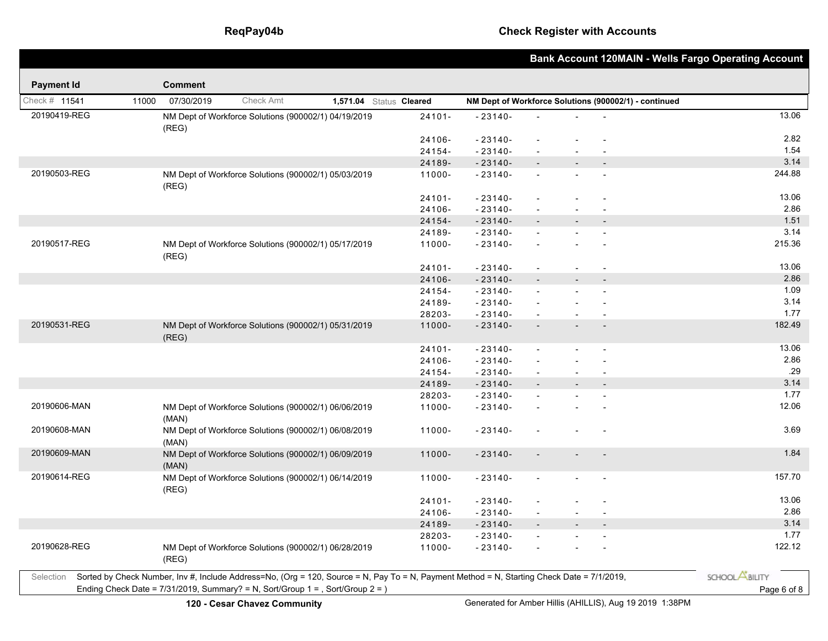|                   |       |                |                                                                                                                                            |                         |           |                                                       |                          |                |                          | <b>Bank Account 120MAIN - Wells Fargo Operating Account</b> |
|-------------------|-------|----------------|--------------------------------------------------------------------------------------------------------------------------------------------|-------------------------|-----------|-------------------------------------------------------|--------------------------|----------------|--------------------------|-------------------------------------------------------------|
| <b>Payment Id</b> |       | <b>Comment</b> |                                                                                                                                            |                         |           |                                                       |                          |                |                          |                                                             |
| Check # 11541     | 11000 | 07/30/2019     | Check Amt                                                                                                                                  | 1,571.04 Status Cleared |           | NM Dept of Workforce Solutions (900002/1) - continued |                          |                |                          |                                                             |
| 20190419-REG      |       | (REG)          | NM Dept of Workforce Solutions (900002/1) 04/19/2019                                                                                       |                         | $24101 -$ | $-23140-$                                             |                          |                |                          | 13.06                                                       |
|                   |       |                |                                                                                                                                            |                         | 24106-    | $-23140-$                                             |                          |                |                          | 2.82                                                        |
|                   |       |                |                                                                                                                                            |                         | 24154-    | $-23140-$                                             |                          |                |                          | 1.54                                                        |
|                   |       |                |                                                                                                                                            |                         | 24189-    | $-23140-$                                             |                          |                |                          | 3.14                                                        |
| 20190503-REG      |       | (REG)          | NM Dept of Workforce Solutions (900002/1) 05/03/2019                                                                                       |                         | 11000-    | $-23140-$                                             | $\mathbf{r}$             |                |                          | 244.88                                                      |
|                   |       |                |                                                                                                                                            |                         | 24101-    | $-23140-$                                             | $\blacksquare$           |                |                          | 13.06                                                       |
|                   |       |                |                                                                                                                                            |                         | 24106-    | $-23140-$                                             | $\overline{a}$           |                |                          | 2.86                                                        |
|                   |       |                |                                                                                                                                            |                         | 24154-    | $-23140-$                                             |                          |                |                          | 1.51                                                        |
|                   |       |                |                                                                                                                                            |                         | 24189-    | $-23140-$                                             | $\mathbf{r}$             |                |                          | 3.14                                                        |
| 20190517-REG      |       | (REG)          | NM Dept of Workforce Solutions (900002/1) 05/17/2019                                                                                       |                         | 11000-    | $-23140-$                                             | $\overline{a}$           |                | $\overline{a}$           | 215.36                                                      |
|                   |       |                |                                                                                                                                            |                         | 24101-    | $-23140-$                                             | $\overline{\phantom{a}}$ |                |                          | 13.06                                                       |
|                   |       |                |                                                                                                                                            |                         | 24106-    | $-23140-$                                             |                          |                |                          | 2.86                                                        |
|                   |       |                |                                                                                                                                            |                         | 24154-    | $-23140-$                                             | $\overline{\phantom{a}}$ |                |                          | 1.09                                                        |
|                   |       |                |                                                                                                                                            |                         | 24189-    | $-23140-$                                             |                          |                |                          | 3.14                                                        |
|                   |       |                |                                                                                                                                            |                         | 28203-    | $-23140-$                                             | $\overline{\phantom{a}}$ | $\sim$         | $\blacksquare$           | 1.77                                                        |
| 20190531-REG      |       | (REG)          | NM Dept of Workforce Solutions (900002/1) 05/31/2019                                                                                       |                         | 11000-    | $-23140-$                                             |                          |                | $\overline{\phantom{a}}$ | 182.49                                                      |
|                   |       |                |                                                                                                                                            |                         | 24101-    | $-23140-$                                             | $\overline{a}$           |                |                          | 13.06                                                       |
|                   |       |                |                                                                                                                                            |                         | 24106-    | $-23140-$                                             | $\overline{\phantom{a}}$ |                |                          | 2.86                                                        |
|                   |       |                |                                                                                                                                            |                         | 24154-    | $-23140-$                                             | $\blacksquare$           | $\sim$         | $\blacksquare$           | .29                                                         |
|                   |       |                |                                                                                                                                            |                         | 24189-    | $-23140-$                                             |                          |                | $\overline{a}$           | 3.14                                                        |
|                   |       |                |                                                                                                                                            |                         | 28203-    | $-23140-$                                             |                          |                |                          | 1.77                                                        |
| 20190606-MAN      |       | (MAN)          | NM Dept of Workforce Solutions (900002/1) 06/06/2019                                                                                       |                         | 11000-    | $-23140-$                                             |                          |                |                          | 12.06                                                       |
| 20190608-MAN      |       | (MAN)          | NM Dept of Workforce Solutions (900002/1) 06/08/2019                                                                                       |                         | 11000-    | $-23140-$                                             |                          |                |                          | 3.69                                                        |
| 20190609-MAN      |       | (MAN)          | NM Dept of Workforce Solutions (900002/1) 06/09/2019                                                                                       |                         | 11000-    | $-23140-$                                             | $\overline{\phantom{a}}$ |                |                          | 1.84                                                        |
| 20190614-REG      |       | (REG)          | NM Dept of Workforce Solutions (900002/1) 06/14/2019                                                                                       |                         | 11000-    | $-23140-$                                             | $\blacksquare$           |                |                          | 157.70                                                      |
|                   |       |                |                                                                                                                                            |                         | $24101 -$ | $-23140-$                                             | $\overline{\phantom{a}}$ |                |                          | 13.06                                                       |
|                   |       |                |                                                                                                                                            |                         | 24106-    | $-23140-$                                             | $\overline{\phantom{a}}$ | $\blacksquare$ | $\blacksquare$           | 2.86                                                        |
|                   |       |                |                                                                                                                                            |                         | 24189-    | $-23140-$                                             |                          |                | $\sim$                   | 3.14                                                        |
|                   |       |                |                                                                                                                                            |                         | 28203-    | $-23140-$                                             | $\overline{a}$           |                | $\sim$                   | 1.77                                                        |
| 20190628-REG      |       | (REG)          | NM Dept of Workforce Solutions (900002/1) 06/28/2019                                                                                       |                         | 11000-    | $-23140-$                                             | $\blacksquare$           |                | $\blacksquare$           | 122.12                                                      |
| Selection         |       |                | Sorted by Check Number, Inv #, Include Address=No, (Org = 120, Source = N, Pay To = N, Payment Method = N, Starting Check Date = 7/1/2019, |                         |           |                                                       |                          |                |                          | SCHOOL <b>ABILITY</b>                                       |
|                   |       |                | Ending Check Date = $7/31/2019$ , Summary? = N, Sort/Group 1 = , Sort/Group 2 = )                                                          |                         |           |                                                       |                          |                |                          | Page 6 of 8                                                 |